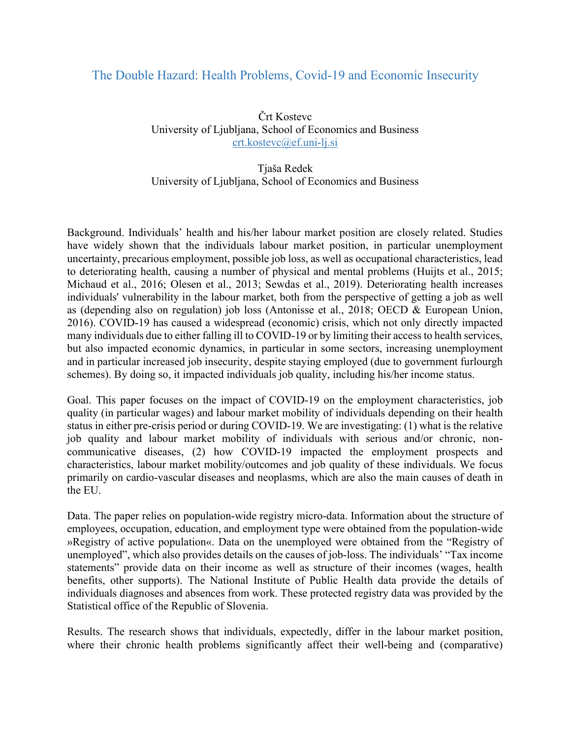## The Double Hazard: Health Problems, Covid-19 and Economic Insecurity

Črt Kostevc University of Ljubljana, School of Economics and Business crt.kostevc@ef.uni-lj.si

## Tjaša Redek University of Ljubljana, School of Economics and Business

Background. Individuals' health and his/her labour market position are closely related. Studies have widely shown that the individuals labour market position, in particular unemployment uncertainty, precarious employment, possible job loss, as well as occupational characteristics, lead to deteriorating health, causing a number of physical and mental problems (Huijts et al., 2015; Michaud et al., 2016; Olesen et al., 2013; Sewdas et al., 2019). Deteriorating health increases individuals' vulnerability in the labour market, both from the perspective of getting a job as well as (depending also on regulation) job loss (Antonisse et al., 2018; OECD & European Union, 2016). COVID-19 has caused a widespread (economic) crisis, which not only directly impacted many individuals due to either falling ill to COVID-19 or by limiting their access to health services, but also impacted economic dynamics, in particular in some sectors, increasing unemployment and in particular increased job insecurity, despite staying employed (due to government furlourgh schemes). By doing so, it impacted individuals job quality, including his/her income status.

Goal. This paper focuses on the impact of COVID-19 on the employment characteristics, job quality (in particular wages) and labour market mobility of individuals depending on their health status in either pre-crisis period or during COVID-19. We are investigating: (1) what is the relative job quality and labour market mobility of individuals with serious and/or chronic, noncommunicative diseases, (2) how COVID-19 impacted the employment prospects and characteristics, labour market mobility/outcomes and job quality of these individuals. We focus primarily on cardio-vascular diseases and neoplasms, which are also the main causes of death in the EU.

Data. The paper relies on population-wide registry micro-data. Information about the structure of employees, occupation, education, and employment type were obtained from the population-wide »Registry of active population«. Data on the unemployed were obtained from the "Registry of unemployed", which also provides details on the causes of job-loss. The individuals' "Tax income statements" provide data on their income as well as structure of their incomes (wages, health benefits, other supports). The National Institute of Public Health data provide the details of individuals diagnoses and absences from work. These protected registry data was provided by the Statistical office of the Republic of Slovenia.

Results. The research shows that individuals, expectedly, differ in the labour market position, where their chronic health problems significantly affect their well-being and (comparative)